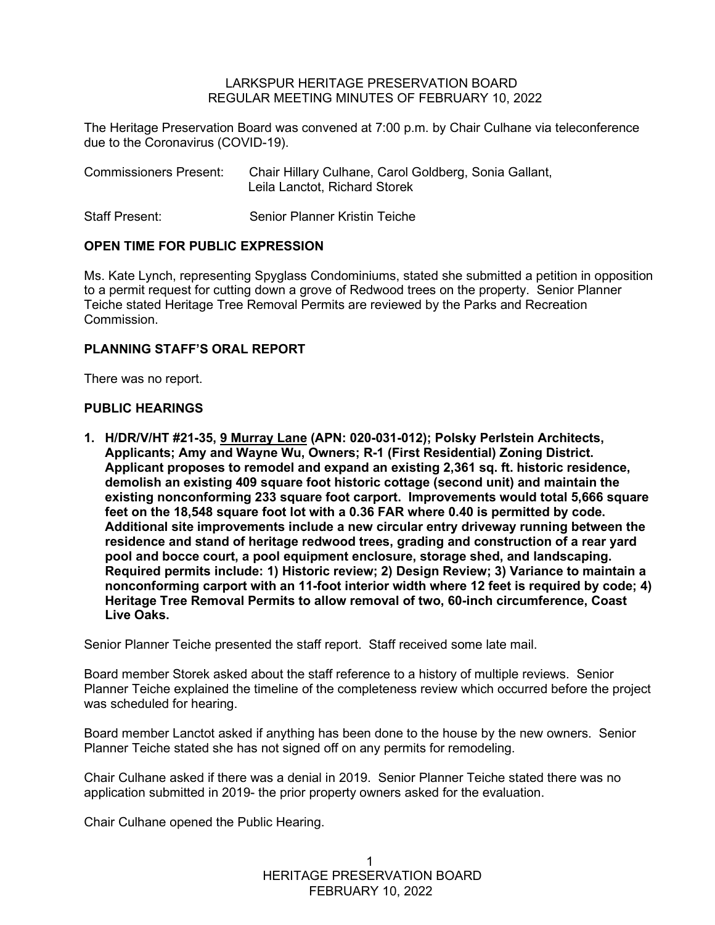### LARKSPUR HERITAGE PRESERVATION BOARD REGULAR MEETING MINUTES OF FEBRUARY 10, 2022

The Heritage Preservation Board was convened at 7:00 p.m. by Chair Culhane via teleconference due to the Coronavirus (COVID-19).

| <b>Commissioners Present:</b> | Chair Hillary Culhane, Carol Goldberg, Sonia Gallant,<br>Leila Lanctot, Richard Storek |
|-------------------------------|----------------------------------------------------------------------------------------|
| Staff Present:                | Senior Planner Kristin Teiche                                                          |

## **OPEN TIME FOR PUBLIC EXPRESSION**

Ms. Kate Lynch, representing Spyglass Condominiums, stated she submitted a petition in opposition to a permit request for cutting down a grove of Redwood trees on the property. Senior Planner Teiche stated Heritage Tree Removal Permits are reviewed by the Parks and Recreation Commission.

## **PLANNING STAFF'S ORAL REPORT**

There was no report.

## **PUBLIC HEARINGS**

**1. H/DR/V/HT #21-35, 9 Murray Lane (APN: 020-031-012); Polsky Perlstein Architects, Applicants; Amy and Wayne Wu, Owners; R-1 (First Residential) Zoning District. Applicant proposes to remodel and expand an existing 2,361 sq. ft. historic residence, demolish an existing 409 square foot historic cottage (second unit) and maintain the existing nonconforming 233 square foot carport. Improvements would total 5,666 square feet on the 18,548 square foot lot with a 0.36 FAR where 0.40 is permitted by code. Additional site improvements include a new circular entry driveway running between the residence and stand of heritage redwood trees, grading and construction of a rear yard pool and bocce court, a pool equipment enclosure, storage shed, and landscaping. Required permits include: 1) Historic review; 2) Design Review; 3) Variance to maintain a nonconforming carport with an 11-foot interior width where 12 feet is required by code; 4) Heritage Tree Removal Permits to allow removal of two, 60-inch circumference, Coast Live Oaks.** 

Senior Planner Teiche presented the staff report. Staff received some late mail.

Board member Storek asked about the staff reference to a history of multiple reviews. Senior Planner Teiche explained the timeline of the completeness review which occurred before the project was scheduled for hearing.

Board member Lanctot asked if anything has been done to the house by the new owners. Senior Planner Teiche stated she has not signed off on any permits for remodeling.

Chair Culhane asked if there was a denial in 2019. Senior Planner Teiche stated there was no application submitted in 2019- the prior property owners asked for the evaluation.

Chair Culhane opened the Public Hearing.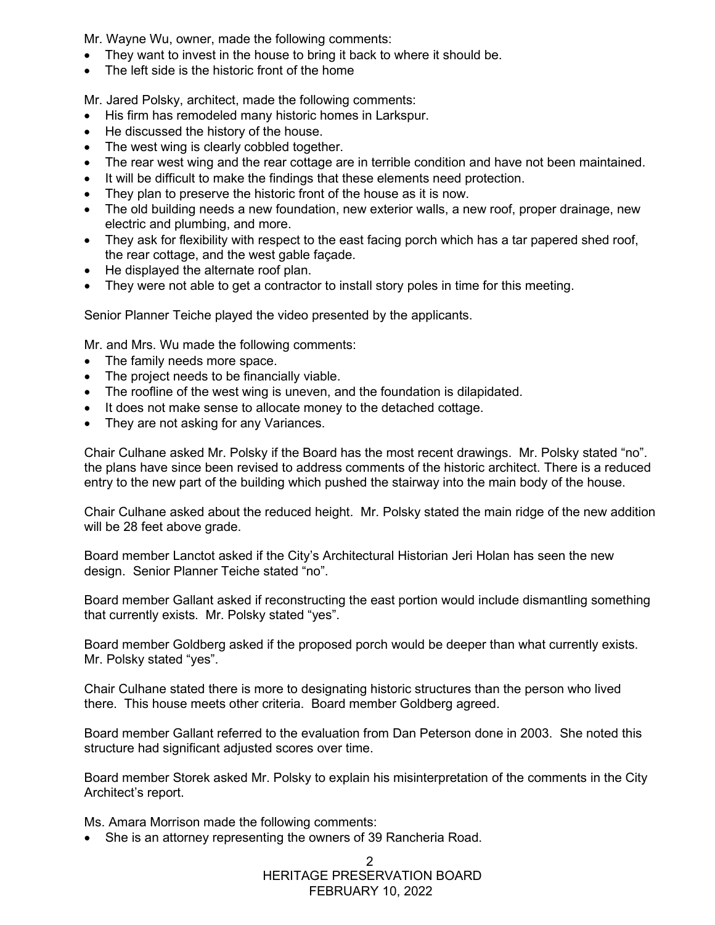Mr. Wayne Wu, owner, made the following comments:

- They want to invest in the house to bring it back to where it should be.
- The left side is the historic front of the home

Mr. Jared Polsky, architect, made the following comments:

- His firm has remodeled many historic homes in Larkspur.
- He discussed the history of the house.
- The west wing is clearly cobbled together.
- The rear west wing and the rear cottage are in terrible condition and have not been maintained.
- It will be difficult to make the findings that these elements need protection.
- They plan to preserve the historic front of the house as it is now.
- The old building needs a new foundation, new exterior walls, a new roof, proper drainage, new electric and plumbing, and more.
- They ask for flexibility with respect to the east facing porch which has a tar papered shed roof, the rear cottage, and the west gable façade.
- He displayed the alternate roof plan.
- They were not able to get a contractor to install story poles in time for this meeting.

Senior Planner Teiche played the video presented by the applicants.

Mr. and Mrs. Wu made the following comments:

- The family needs more space.
- The project needs to be financially viable.
- The roofline of the west wing is uneven, and the foundation is dilapidated.
- It does not make sense to allocate money to the detached cottage.
- They are not asking for any Variances.

Chair Culhane asked Mr. Polsky if the Board has the most recent drawings. Mr. Polsky stated "no". the plans have since been revised to address comments of the historic architect. There is a reduced entry to the new part of the building which pushed the stairway into the main body of the house.

Chair Culhane asked about the reduced height. Mr. Polsky stated the main ridge of the new addition will be 28 feet above grade.

Board member Lanctot asked if the City's Architectural Historian Jeri Holan has seen the new design. Senior Planner Teiche stated "no".

Board member Gallant asked if reconstructing the east portion would include dismantling something that currently exists. Mr. Polsky stated "yes".

Board member Goldberg asked if the proposed porch would be deeper than what currently exists. Mr. Polsky stated "yes".

Chair Culhane stated there is more to designating historic structures than the person who lived there. This house meets other criteria. Board member Goldberg agreed.

Board member Gallant referred to the evaluation from Dan Peterson done in 2003. She noted this structure had significant adjusted scores over time.

Board member Storek asked Mr. Polsky to explain his misinterpretation of the comments in the City Architect's report.

Ms. Amara Morrison made the following comments:

• She is an attorney representing the owners of 39 Rancheria Road.

 HERITAGE PRESERVATION BOARD FEBRUARY 10, 2022  $\mathfrak{D}$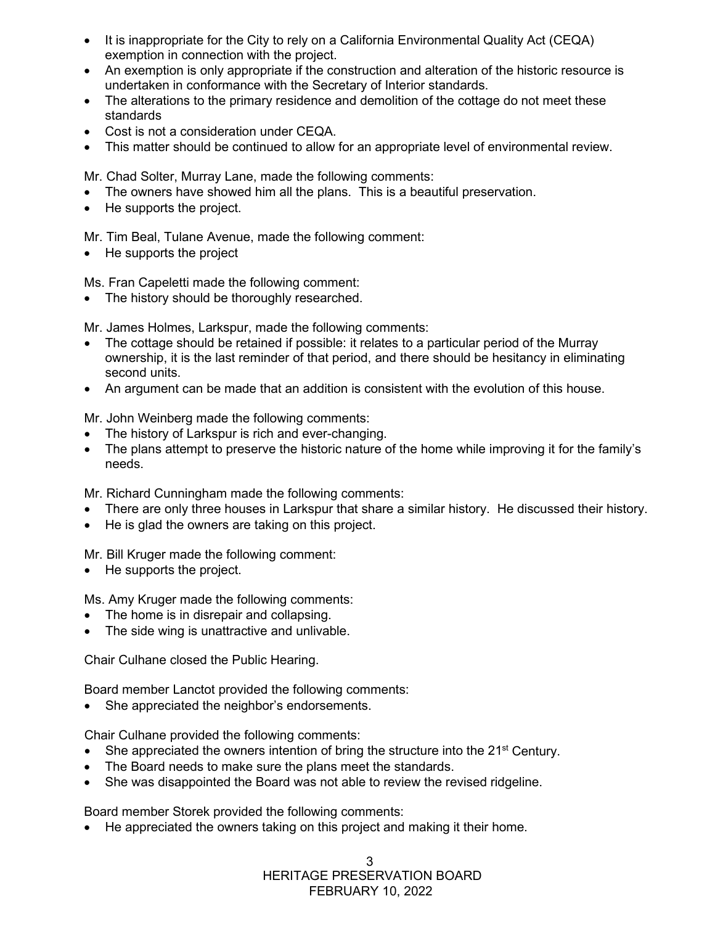- It is inappropriate for the City to rely on a California Environmental Quality Act (CEQA) exemption in connection with the project.
- An exemption is only appropriate if the construction and alteration of the historic resource is undertaken in conformance with the Secretary of Interior standards.
- The alterations to the primary residence and demolition of the cottage do not meet these standards
- Cost is not a consideration under CEQA.
- This matter should be continued to allow for an appropriate level of environmental review.

Mr. Chad Solter, Murray Lane, made the following comments:

- The owners have showed him all the plans. This is a beautiful preservation.
- He supports the project.

Mr. Tim Beal, Tulane Avenue, made the following comment:

• He supports the project

Ms. Fran Capeletti made the following comment:

• The history should be thoroughly researched.

Mr. James Holmes, Larkspur, made the following comments:

- The cottage should be retained if possible: it relates to a particular period of the Murray ownership, it is the last reminder of that period, and there should be hesitancy in eliminating second units.
- An argument can be made that an addition is consistent with the evolution of this house.

Mr. John Weinberg made the following comments:

- The history of Larkspur is rich and ever-changing.
- The plans attempt to preserve the historic nature of the home while improving it for the family's needs.

Mr. Richard Cunningham made the following comments:

- There are only three houses in Larkspur that share a similar history. He discussed their history.
- He is glad the owners are taking on this project.

Mr. Bill Kruger made the following comment:

• He supports the project.

Ms. Amy Kruger made the following comments:

- The home is in disrepair and collapsing.
- The side wing is unattractive and unlivable.

Chair Culhane closed the Public Hearing.

Board member Lanctot provided the following comments:

She appreciated the neighbor's endorsements.

Chair Culhane provided the following comments:

- She appreciated the owners intention of bring the structure into the  $21<sup>st</sup>$  Century.
- The Board needs to make sure the plans meet the standards.
- She was disappointed the Board was not able to review the revised ridgeline.

Board member Storek provided the following comments:

• He appreciated the owners taking on this project and making it their home.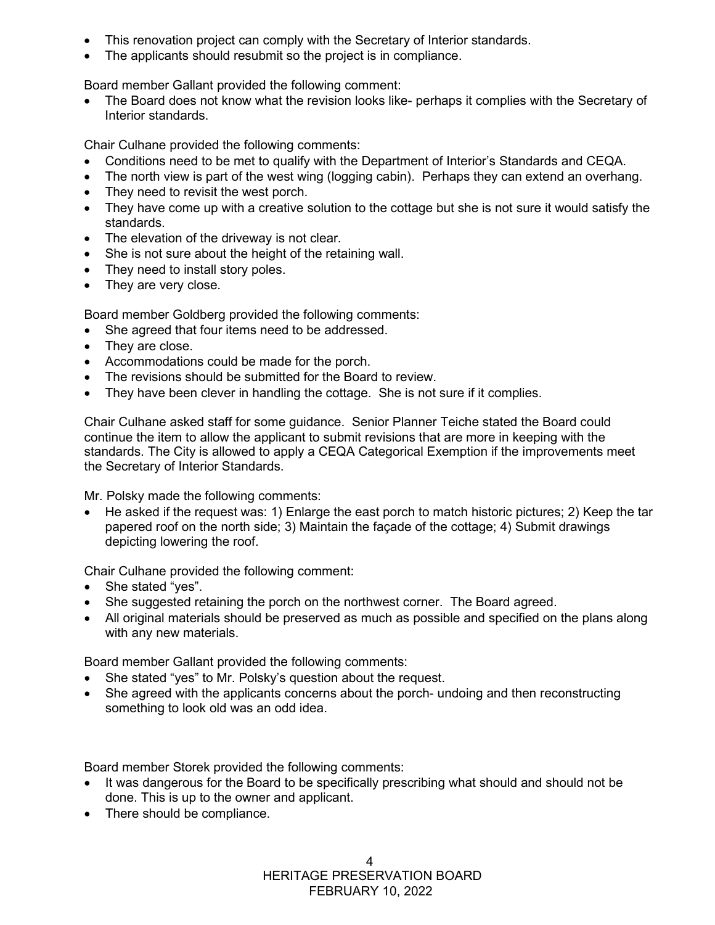- This renovation project can comply with the Secretary of Interior standards.
- The applicants should resubmit so the project is in compliance.

Board member Gallant provided the following comment:

• The Board does not know what the revision looks like- perhaps it complies with the Secretary of Interior standards.

Chair Culhane provided the following comments:

- Conditions need to be met to qualify with the Department of Interior's Standards and CEQA.
- The north view is part of the west wing (logging cabin). Perhaps they can extend an overhang.
- They need to revisit the west porch.
- They have come up with a creative solution to the cottage but she is not sure it would satisfy the standards.
- The elevation of the driveway is not clear.
- She is not sure about the height of the retaining wall.
- They need to install story poles.
- They are very close.

Board member Goldberg provided the following comments:

- She agreed that four items need to be addressed.
- They are close.
- Accommodations could be made for the porch.
- The revisions should be submitted for the Board to review.
- They have been clever in handling the cottage. She is not sure if it complies.

Chair Culhane asked staff for some guidance. Senior Planner Teiche stated the Board could continue the item to allow the applicant to submit revisions that are more in keeping with the standards. The City is allowed to apply a CEQA Categorical Exemption if the improvements meet the Secretary of Interior Standards.

Mr. Polsky made the following comments:

• He asked if the request was: 1) Enlarge the east porch to match historic pictures; 2) Keep the tar papered roof on the north side; 3) Maintain the façade of the cottage; 4) Submit drawings depicting lowering the roof.

Chair Culhane provided the following comment:

- She stated "yes".
- She suggested retaining the porch on the northwest corner. The Board agreed.
- All original materials should be preserved as much as possible and specified on the plans along with any new materials.

Board member Gallant provided the following comments:

- She stated "yes" to Mr. Polsky's question about the request.
- She agreed with the applicants concerns about the porch- undoing and then reconstructing something to look old was an odd idea.

Board member Storek provided the following comments:

- It was dangerous for the Board to be specifically prescribing what should and should not be done. This is up to the owner and applicant.
- There should be compliance.